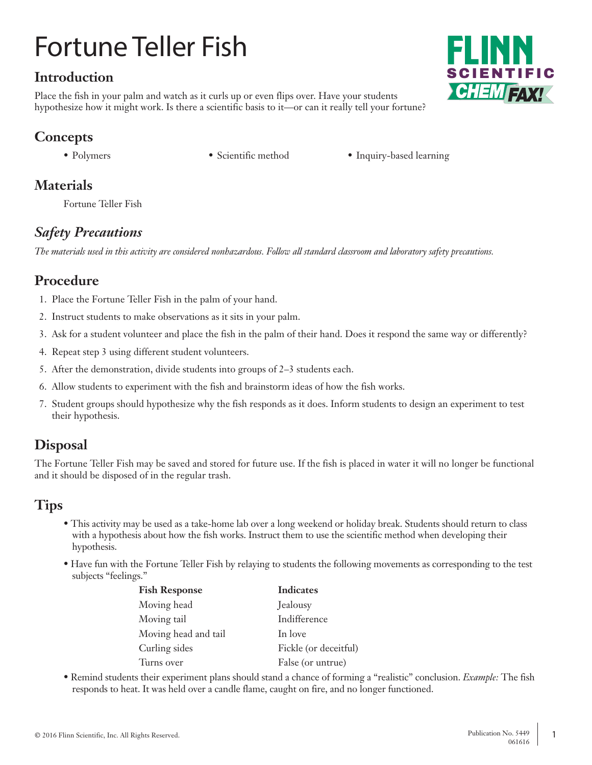# Fortune Teller Fish

## **Introduction**

Place the fish in your palm and watch as it curls up or even flips over. Have your students hypothesize how it might work. Is there a scientific basis to it—or can it really tell your fortune?

# **Concepts**

- 
- Polymers Scientific method Inquiry-based learning

# **Materials**

Fortune Teller Fish

# *Safety Precautions*

*The materials used in this activity are considered nonhazardous. Follow all standard classroom and laboratory safety precautions.*

# **Procedure**

- 1. Place the Fortune Teller Fish in the palm of your hand.
- 2. Instruct students to make observations as it sits in your palm.
- 3. Ask for a student volunteer and place the fish in the palm of their hand. Does it respond the same way or differently?
- 4. Repeat step 3 using different student volunteers.
- 5. After the demonstration, divide students into groups of 2–3 students each.
- 6. Allow students to experiment with the fish and brainstorm ideas of how the fish works.
- 7. Student groups should hypothesize why the fish responds as it does. Inform students to design an experiment to test their hypothesis.

# **Disposal**

The Fortune Teller Fish may be saved and stored for future use. If the fish is placed in water it will no longer be functional and it should be disposed of in the regular trash.

## **Tips**

- This activity may be used as a take-home lab over a long weekend or holiday break. Students should return to class with a hypothesis about how the fish works. Instruct them to use the scientific method when developing their hypothesis.
- Have fun with the Fortune Teller Fish by relaying to students the following movements as corresponding to the test subjects "feelings."

| <b>Fish Response</b> | <b>Indicates</b>      |
|----------------------|-----------------------|
| Moving head          | Jealousy              |
| Moving tail          | Indifference          |
| Moving head and tail | In love               |
| Curling sides        | Fickle (or deceitful) |
| Turns over           | False (or untrue)     |

• Remind students their experiment plans should stand a chance of forming a "realistic" conclusion. *Example:* The fish responds to heat. It was held over a candle flame, caught on fire, and no longer functioned.



**CHEMTEAX!**